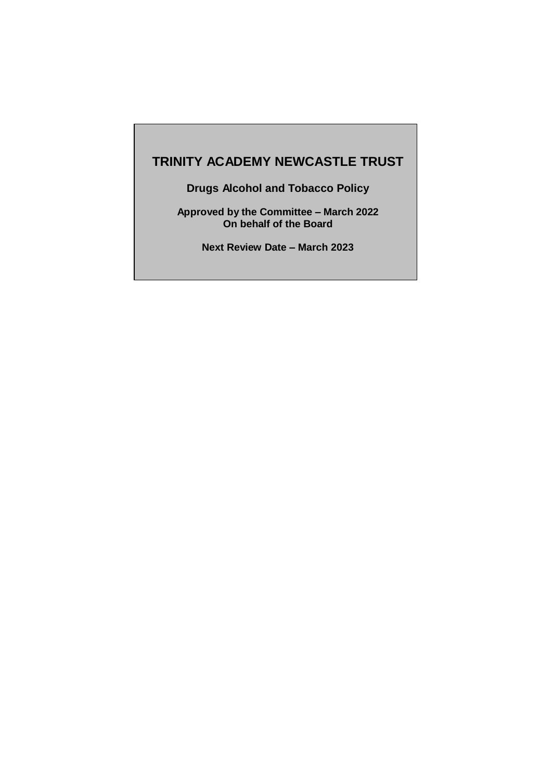# **TRINITY ACADEMY NEWCASTLE TRUST**

**Drugs Alcohol and Tobacco Policy**

**Approved by the Committee – March 2022 On behalf of the Board**

**Next Review Date – March 2023**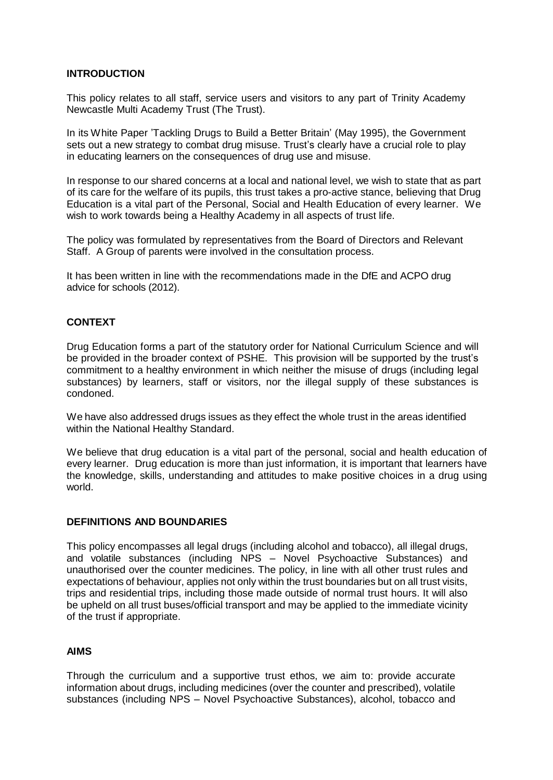# **INTRODUCTION**

This policy relates to all staff, service users and visitors to any part of Trinity Academy Newcastle Multi Academy Trust (The Trust).

In its White Paper 'Tackling Drugs to Build a Better Britain' (May 1995), the Government sets out a new strategy to combat drug misuse. Trust's clearly have a crucial role to play in educating learners on the consequences of drug use and misuse.

In response to our shared concerns at a local and national level, we wish to state that as part of its care for the welfare of its pupils, this trust takes a pro-active stance, believing that Drug Education is a vital part of the Personal, Social and Health Education of every learner. We wish to work towards being a Healthy Academy in all aspects of trust life.

The policy was formulated by representatives from the Board of Directors and Relevant Staff. A Group of parents were involved in the consultation process.

It has been written in line with the recommendations made in the DfE and ACPO drug advice for schools (2012).

# **CONTEXT**

Drug Education forms a part of the statutory order for National Curriculum Science and will be provided in the broader context of PSHE. This provision will be supported by the trust's commitment to a healthy environment in which neither the misuse of drugs (including legal substances) by learners, staff or visitors, nor the illegal supply of these substances is condoned.

We have also addressed drugs issues as they effect the whole trust in the areas identified within the National Healthy Standard.

We believe that drug education is a vital part of the personal, social and health education of every learner. Drug education is more than just information, it is important that learners have the knowledge, skills, understanding and attitudes to make positive choices in a drug using world.

#### **DEFINITIONS AND BOUNDARIES**

This policy encompasses all legal drugs (including alcohol and tobacco), all illegal drugs, and volatile substances (including NPS – Novel Psychoactive Substances) and unauthorised over the counter medicines. The policy, in line with all other trust rules and expectations of behaviour, applies not only within the trust boundaries but on all trust visits, trips and residential trips, including those made outside of normal trust hours. It will also be upheld on all trust buses/official transport and may be applied to the immediate vicinity of the trust if appropriate.

# **AIMS**

Through the curriculum and a supportive trust ethos, we aim to: provide accurate information about drugs, including medicines (over the counter and prescribed), volatile substances (including NPS – Novel Psychoactive Substances), alcohol, tobacco and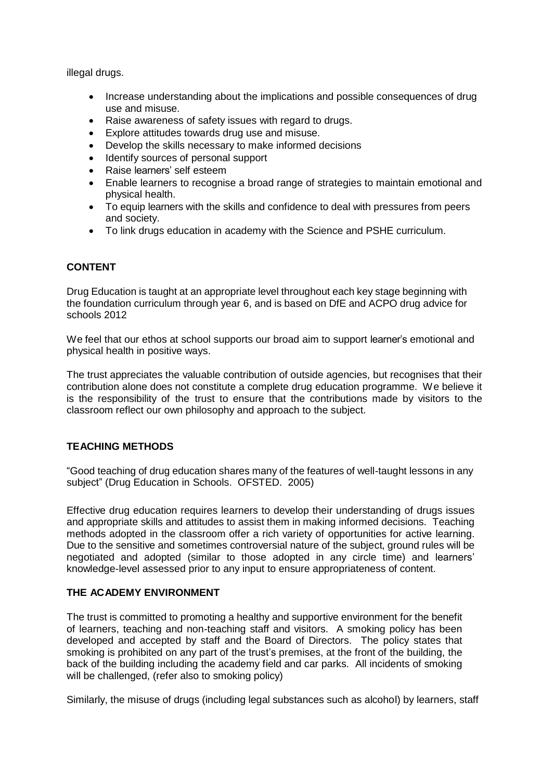illegal drugs.

- Increase understanding about the implications and possible consequences of drug use and misuse.
- Raise awareness of safety issues with regard to drugs.
- Explore attitudes towards drug use and misuse.
- Develop the skills necessary to make informed decisions
- Identify sources of personal support
- Raise learners' self esteem
- Enable learners to recognise a broad range of strategies to maintain emotional and physical health.
- To equip learners with the skills and confidence to deal with pressures from peers and society.
- To link drugs education in academy with the Science and PSHE curriculum.

# **CONTENT**

Drug Education is taught at an appropriate level throughout each key stage beginning with the foundation curriculum through year 6, and is based on DfE and ACPO drug advice for schools 2012

We feel that our ethos at school supports our broad aim to support learner's emotional and physical health in positive ways.

The trust appreciates the valuable contribution of outside agencies, but recognises that their contribution alone does not constitute a complete drug education programme. We believe it is the responsibility of the trust to ensure that the contributions made by visitors to the classroom reflect our own philosophy and approach to the subject.

# **TEACHING METHODS**

"Good teaching of drug education shares many of the features of well-taught lessons in any subject" (Drug Education in Schools. OFSTED. 2005)

Effective drug education requires learners to develop their understanding of drugs issues and appropriate skills and attitudes to assist them in making informed decisions. Teaching methods adopted in the classroom offer a rich variety of opportunities for active learning. Due to the sensitive and sometimes controversial nature of the subject, ground rules will be negotiated and adopted (similar to those adopted in any circle time) and learners' knowledge-level assessed prior to any input to ensure appropriateness of content.

# **THE ACADEMY ENVIRONMENT**

The trust is committed to promoting a healthy and supportive environment for the benefit of learners, teaching and non-teaching staff and visitors. A smoking policy has been developed and accepted by staff and the Board of Directors. The policy states that smoking is prohibited on any part of the trust's premises, at the front of the building, the back of the building including the academy field and car parks. All incidents of smoking will be challenged, (refer also to smoking policy)

Similarly, the misuse of drugs (including legal substances such as alcohol) by learners, staff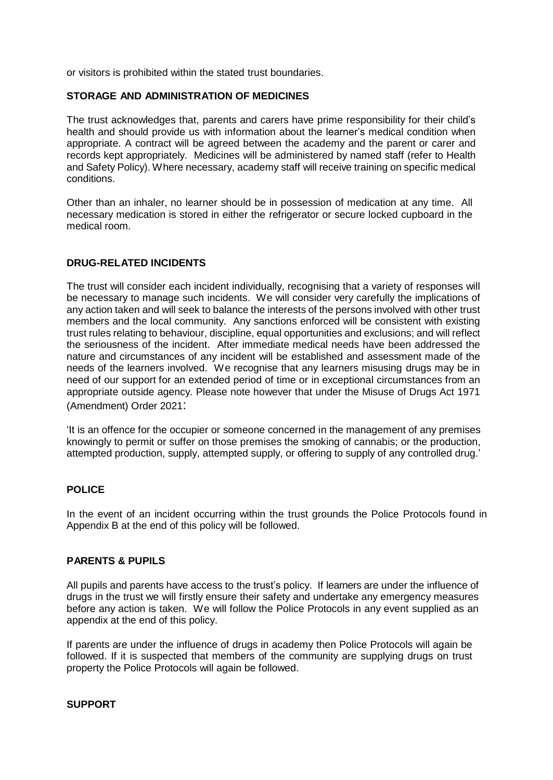or visitors is prohibited within the stated trust boundaries.

# **STORAGE AND ADMINISTRATION OF MEDICINES**

The trust acknowledges that, parents and carers have prime responsibility for their child's health and should provide us with information about the learner's medical condition when appropriate. A contract will be agreed between the academy and the parent or carer and records kept appropriately. Medicines will be administered by named staff (refer to Health and Safety Policy). Where necessary, academy staff will receive training on specific medical conditions.

Other than an inhaler, no learner should be in possession of medication at any time. All necessary medication is stored in either the refrigerator or secure locked cupboard in the medical room.

# **DRUG-RELATED INCIDENTS**

The trust will consider each incident individually, recognising that a variety of responses will be necessary to manage such incidents. We will consider very carefully the implications of any action taken and will seek to balance the interests of the persons involved with other trust members and the local community. Any sanctions enforced will be consistent with existing trust rules relating to behaviour, discipline, equal opportunities and exclusions; and will reflect the seriousness of the incident. After immediate medical needs have been addressed the nature and circumstances of any incident will be established and assessment made of the needs of the learners involved. We recognise that any learners misusing drugs may be in need of our support for an extended period of time or in exceptional circumstances from an appropriate outside agency. Please note however that under the Misuse of Drugs Act 1971 (Amendment) Order 2021:

'It is an offence for the occupier or someone concerned in the management of any premises knowingly to permit or suffer on those premises the smoking of cannabis; or the production, attempted production, supply, attempted supply, or offering to supply of any controlled drug.'

# **POLICE**

In the event of an incident occurring within the trust grounds the Police Protocols found in Appendix B at the end of this policy will be followed.

#### **PARENTS & PUPILS**

All pupils and parents have access to the trust's policy. If learners are under the influence of drugs in the trust we will firstly ensure their safety and undertake any emergency measures before any action is taken. We will follow the Police Protocols in any event supplied as an appendix at the end of this policy.

If parents are under the influence of drugs in academy then Police Protocols will again be followed. If it is suspected that members of the community are supplying drugs on trust property the Police Protocols will again be followed.

# **SUPPORT**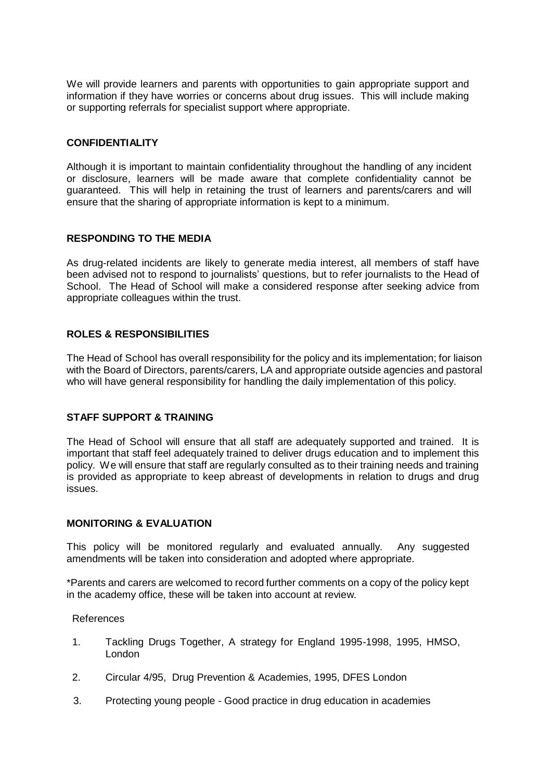We will provide learners and parents with opportunities to gain appropriate support and information if they have worries or concerns about drug issues. This will include making or supporting referrals for specialist support where appropriate.

#### **CONFIDENTIALITY**

Although it is important to maintain confidentiality throughout the handling of any incident or disclosure, learners will be made aware that complete confidentiality cannot be guaranteed. This will help in retaining the trust of learners and parents/carers and will ensure that the sharing of appropriate information is kept to a minimum.

# **RESPONDING TO THE MEDIA**

As drug-related incidents are likely to generate media interest, all members of staff have been advised not to respond to journalists' questions, but to refer journalists to the Head of School. The Head of School will make a considered response after seeking advice from appropriate colleagues within the trust.

# **ROLES & RESPONSIBILITIES**

The Head of School has overall responsibility for the policy and its implementation; for liaison with the Board of Directors, parents/carers, LA and appropriate outside agencies and pastoral who will have general responsibility for handling the daily implementation of this policy.

# **STAFF SUPPORT & TRAINING**

The Head of School will ensure that all staff are adequately supported and trained. It is important that staff feel adequately trained to deliver drugs education and to implement this policy. We will ensure that staff are regularly consulted as to their training needs and training is provided as appropriate to keep abreast of developments in relation to drugs and drug issues.

# **MONITORING & EVALUATION**

This policy will be monitored regularly and evaluated annually. Any suggested amendments will be taken into consideration and adopted where appropriate.

\*Parents and carers are welcomed to record further comments on a copy of the policy kept in the academy office, these will be taken into account at review.

#### References

- 1. Tackling Drugs Together, A strategy for England 1995-1998, 1995, HMSO, London
- 2. Circular 4/95, Drug Prevention & Academies, 1995, DFES London
- 3. Protecting young people Good practice in drug education in academies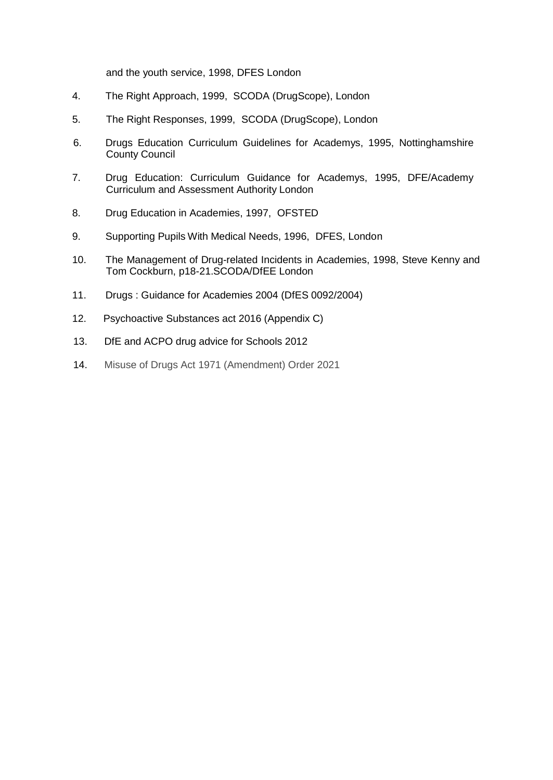and the youth service, 1998, DFES London

- 4. The Right Approach, 1999, SCODA (DrugScope), London
- 5. The Right Responses, 1999, SCODA (DrugScope), London
- 6. Drugs Education Curriculum Guidelines for Academys, 1995, Nottinghamshire County Council
- 7. Drug Education: Curriculum Guidance for Academys, 1995, DFE/Academy Curriculum and Assessment Authority London
- 8. Drug Education in Academies, 1997, OFSTED
- 9. Supporting Pupils With Medical Needs, 1996, DFES, London
- 10. The Management of Drug-related Incidents in Academies, 1998, Steve Kenny and Tom Cockburn, p18-21.SCODA/DfEE London
- 11. Drugs : Guidance for Academies 2004 (DfES 0092/2004)
- 12. Psychoactive Substances act 2016 (Appendix C)
- 13. DfE and ACPO drug advice for Schools 2012
- 14. Misuse of Drugs Act 1971 (Amendment) Order 2021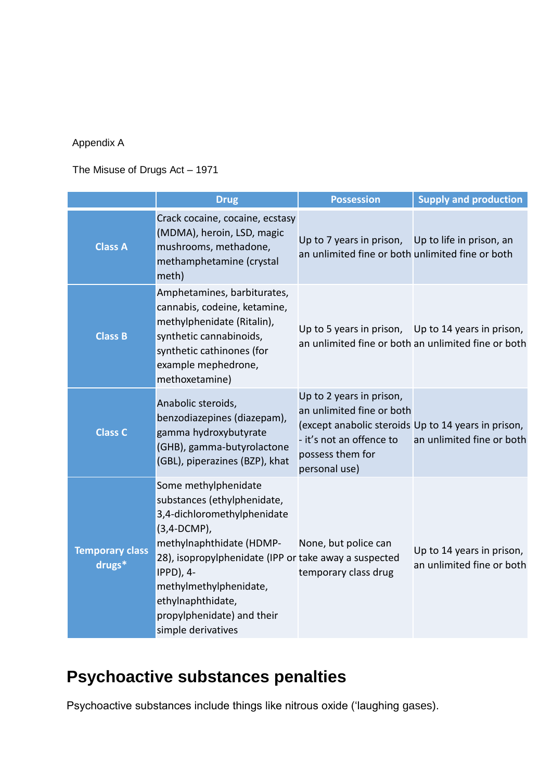# Appendix A

# The Misuse of Drugs Act – 1971

|                                  | <b>Drug</b>                                                                                                                                                                                                                                                                                                   | <b>Possession</b>                                                                                                                                                             | <b>Supply and production</b>                           |
|----------------------------------|---------------------------------------------------------------------------------------------------------------------------------------------------------------------------------------------------------------------------------------------------------------------------------------------------------------|-------------------------------------------------------------------------------------------------------------------------------------------------------------------------------|--------------------------------------------------------|
| <b>Class A</b>                   | Crack cocaine, cocaine, ecstasy<br>(MDMA), heroin, LSD, magic<br>mushrooms, methadone,<br>methamphetamine (crystal<br>meth)                                                                                                                                                                                   | Up to 7 years in prison, Up to life in prison, an<br>an unlimited fine or both unlimited fine or both                                                                         |                                                        |
| <b>Class B</b>                   | Amphetamines, barbiturates,<br>cannabis, codeine, ketamine,<br>methylphenidate (Ritalin),<br>synthetic cannabinoids,<br>synthetic cathinones (for<br>example mephedrone,<br>methoxetamine)                                                                                                                    | Up to 5 years in prison, Up to 14 years in prison,                                                                                                                            | an unlimited fine or both an unlimited fine or both    |
| <b>Class C</b>                   | Anabolic steroids,<br>benzodiazepines (diazepam),<br>gamma hydroxybutyrate<br>(GHB), gamma-butyrolactone<br>(GBL), piperazines (BZP), khat                                                                                                                                                                    | Up to 2 years in prison,<br>an unlimited fine or both<br>(except anabolic steroids Up to 14 years in prison,<br>- it's not an offence to<br>possess them for<br>personal use) | an unlimited fine or both                              |
| <b>Temporary class</b><br>drugs* | Some methylphenidate<br>substances (ethylphenidate,<br>3,4-dichloromethylphenidate<br>(3,4-DCMP),<br>methylnaphthidate (HDMP-<br>28), isopropylphenidate (IPP or take away a suspected<br><b>IPPD), 4-</b><br>methylmethylphenidate,<br>ethylnaphthidate,<br>propylphenidate) and their<br>simple derivatives | None, but police can<br>temporary class drug                                                                                                                                  | Up to 14 years in prison,<br>an unlimited fine or both |

# **Psychoactive substances penalties**

Psychoactive substances include things like nitrous oxide ('laughing gases).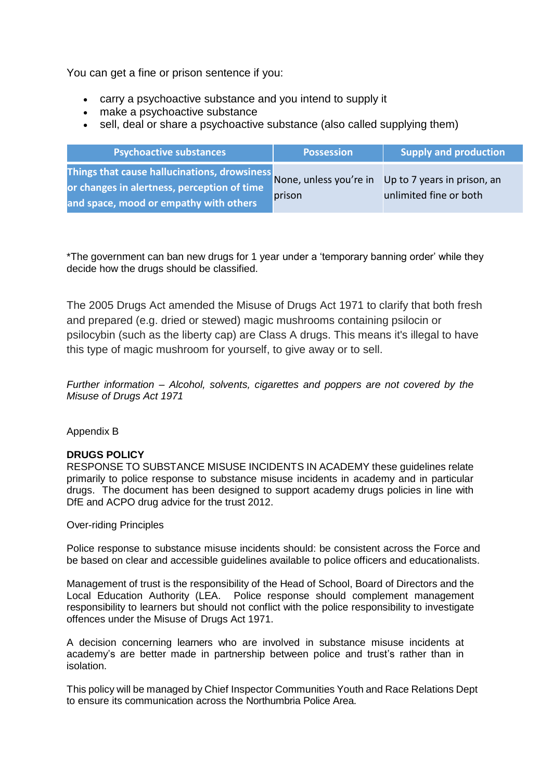You can get a fine or prison sentence if you:

- carry a psychoactive substance and you intend to supply it
- make a psychoactive substance
- sell, deal or share a psychoactive substance (also called supplying them)

| <b>Psychoactive substances</b>                                                                                                                                                              | <b>Possession</b> | Supply and production  |
|---------------------------------------------------------------------------------------------------------------------------------------------------------------------------------------------|-------------------|------------------------|
| Things that cause hallucinations, drowsiness<br>None, unless you're in Up to 7 years in prison, an<br>or changes in alertness, perception of time<br>and space, mood or empathy with others | prison            | unlimited fine or both |

\*The government can ban new drugs for 1 year under a 'temporary banning order' while they decide how the drugs should be classified.

The 2005 Drugs Act amended the Misuse of Drugs Act 1971 to clarify that both fresh and prepared (e.g. dried or stewed) magic mushrooms containing psilocin or psilocybin (such as the liberty cap) are Class A drugs. This means it's illegal to have this type of magic mushroom for yourself, to give away or to sell.

*Further information – Alcohol, solvents, cigarettes and poppers are not covered by the Misuse of Drugs Act 1971*

# Appendix B

# **DRUGS POLICY**

RESPONSE TO SUBSTANCE MISUSE INCIDENTS IN ACADEMY these guidelines relate primarily to police response to substance misuse incidents in academy and in particular drugs. The document has been designed to support academy drugs policies in line with DfE and ACPO drug advice for the trust 2012.

Over-riding Principles

Police response to substance misuse incidents should: be consistent across the Force and be based on clear and accessible guidelines available to police officers and educationalists.

Management of trust is the responsibility of the Head of School, Board of Directors and the Local Education Authority (LEA. Police response should complement management responsibility to learners but should not conflict with the police responsibility to investigate offences under the Misuse of Drugs Act 1971.

A decision concerning learners who are involved in substance misuse incidents at academy's are better made in partnership between police and trust's rather than in isolation.

This policy will be managed by Chief Inspector Communities Youth and Race Relations Dept to ensure its communication across the Northumbria Police Area.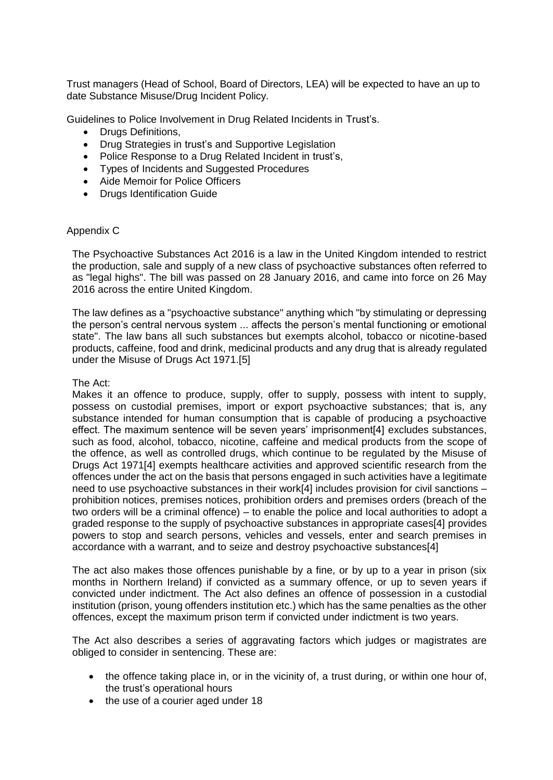Trust managers (Head of School, Board of Directors, LEA) will be expected to have an up to date Substance Misuse/Drug Incident Policy.

Guidelines to Police Involvement in Drug Related Incidents in Trust's.

- Drugs Definitions,
- Drug Strategies in trust's and Supportive Legislation
- Police Response to a Drug Related Incident in trust's,
- Types of Incidents and Suggested Procedures
- Aide Memoir for Police Officers
- Drugs Identification Guide

#### Appendix C

The Psychoactive Substances Act 2016 is a law in the United Kingdom intended to restrict the production, sale and supply of a new class of psychoactive substances often referred to as "legal highs". The bill was passed on 28 January 2016, and came into force on 26 May 2016 across the entire United Kingdom.

The law defines as a "psychoactive substance" anything which "by stimulating or depressing the person's central nervous system ... affects the person's mental functioning or emotional state". The law bans all such substances but exempts alcohol, tobacco or nicotine-based products, caffeine, food and drink, medicinal products and any drug that is already regulated under the Misuse of Drugs Act 1971.[5]

#### The Act:

Makes it an offence to produce, supply, offer to supply, possess with intent to supply, possess on custodial premises, import or export psychoactive substances; that is, any substance intended for human consumption that is capable of producing a psychoactive effect. The maximum sentence will be seven years' imprisonment[4] excludes substances, such as food, alcohol, tobacco, nicotine, caffeine and medical products from the scope of the offence, as well as controlled drugs, which continue to be regulated by the Misuse of Drugs Act 1971[4] exempts healthcare activities and approved scientific research from the offences under the act on the basis that persons engaged in such activities have a legitimate need to use psychoactive substances in their work[4] includes provision for civil sanctions – prohibition notices, premises notices, prohibition orders and premises orders (breach of the two orders will be a criminal offence) – to enable the police and local authorities to adopt a graded response to the supply of psychoactive substances in appropriate cases[4] provides powers to stop and search persons, vehicles and vessels, enter and search premises in accordance with a warrant, and to seize and destroy psychoactive substances[4]

The act also makes those offences punishable by a fine, or by up to a year in prison (six months in Northern Ireland) if convicted as a summary offence, or up to seven years if convicted under indictment. The Act also defines an offence of possession in a custodial institution (prison, young offenders institution etc.) which has the same penalties as the other offences, except the maximum prison term if convicted under indictment is two years.

The Act also describes a series of aggravating factors which judges or magistrates are obliged to consider in sentencing. These are:

- the offence taking place in, or in the vicinity of, a trust during, or within one hour of, the trust's operational hours
- the use of a courier aged under 18